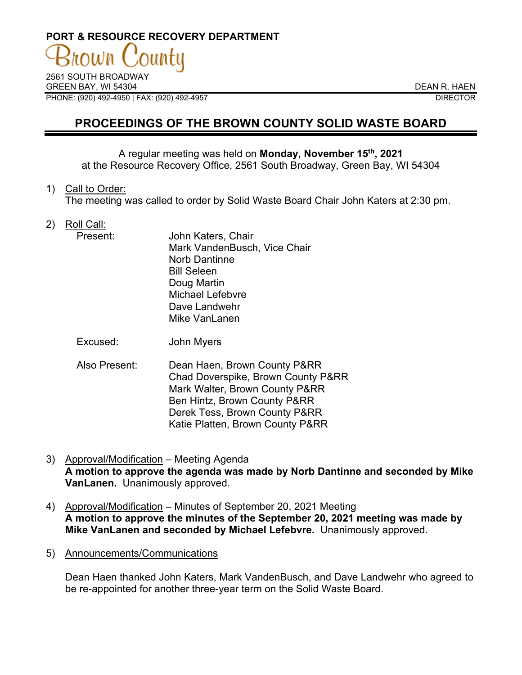# **PORT & RESOURCE RECOVERY DEPARTMENT**

2561 SOUTH BROADWAY GREEN BAY, WI 54304 DEAN R. HAEN PHONE: (920) 492-4950 | FAX: (920) 492-4957 DIRECTOR

## **PROCEEDINGS OF THE BROWN COUNTY SOLID WASTE BOARD**

A regular meeting was held on **Monday, November 15th, 2021** at the Resource Recovery Office, 2561 South Broadway, Green Bay, WI 54304

1) Call to Order:

The meeting was called to order by Solid Waste Board Chair John Katers at 2:30 pm.

2) Roll Call:

| Present: | John Katers, Chair           |
|----------|------------------------------|
|          | Mark VandenBusch, Vice Chair |
|          | <b>Norb Dantinne</b>         |
|          | <b>Bill Seleen</b>           |
|          | Doug Martin                  |
|          | <b>Michael Lefebvre</b>      |
|          | Dave Landwehr                |
|          | Mike VanLanen                |
|          |                              |

Excused: John Myers

- Also Present: Dean Haen, Brown County P&RR Chad Doverspike, Brown County P&RR Mark Walter, Brown County P&RR Ben Hintz, Brown County P&RR Derek Tess, Brown County P&RR Katie Platten, Brown County P&RR
- 3) Approval/Modification Meeting Agenda **A motion to approve the agenda was made by Norb Dantinne and seconded by Mike VanLanen.** Unanimously approved.
- 4) Approval/Modification Minutes of September 20, 2021 Meeting **A motion to approve the minutes of the September 20, 2021 meeting was made by Mike VanLanen and seconded by Michael Lefebvre.** Unanimously approved.
- 5) Announcements/Communications

Dean Haen thanked John Katers, Mark VandenBusch, and Dave Landwehr who agreed to be re-appointed for another three-year term on the Solid Waste Board.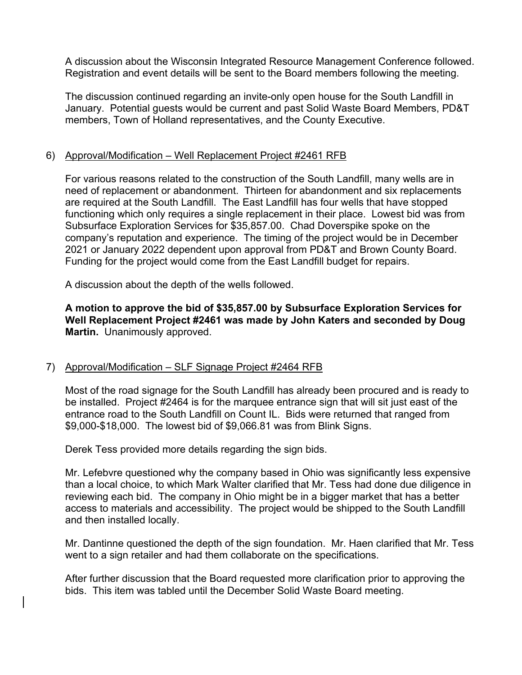A discussion about the Wisconsin Integrated Resource Management Conference followed. Registration and event details will be sent to the Board members following the meeting.

The discussion continued regarding an invite-only open house for the South Landfill in January. Potential guests would be current and past Solid Waste Board Members, PD&T members, Town of Holland representatives, and the County Executive.

#### 6) Approval/Modification – Well Replacement Project #2461 RFB

For various reasons related to the construction of the South Landfill, many wells are in need of replacement or abandonment. Thirteen for abandonment and six replacements are required at the South Landfill. The East Landfill has four wells that have stopped functioning which only requires a single replacement in their place. Lowest bid was from Subsurface Exploration Services for \$35,857.00. Chad Doverspike spoke on the company's reputation and experience. The timing of the project would be in December 2021 or January 2022 dependent upon approval from PD&T and Brown County Board. Funding for the project would come from the East Landfill budget for repairs.

A discussion about the depth of the wells followed.

**A motion to approve the bid of \$35,857.00 by Subsurface Exploration Services for Well Replacement Project #2461 was made by John Katers and seconded by Doug Martin.** Unanimously approved.

#### 7) Approval/Modification – SLF Signage Project #2464 RFB

Most of the road signage for the South Landfill has already been procured and is ready to be installed. Project #2464 is for the marquee entrance sign that will sit just east of the entrance road to the South Landfill on Count IL. Bids were returned that ranged from \$9,000-\$18,000. The lowest bid of \$9,066.81 was from Blink Signs.

Derek Tess provided more details regarding the sign bids.

Mr. Lefebvre questioned why the company based in Ohio was significantly less expensive than a local choice, to which Mark Walter clarified that Mr. Tess had done due diligence in reviewing each bid. The company in Ohio might be in a bigger market that has a better access to materials and accessibility. The project would be shipped to the South Landfill and then installed locally.

Mr. Dantinne questioned the depth of the sign foundation. Mr. Haen clarified that Mr. Tess went to a sign retailer and had them collaborate on the specifications.

After further discussion that the Board requested more clarification prior to approving the bids. This item was tabled until the December Solid Waste Board meeting.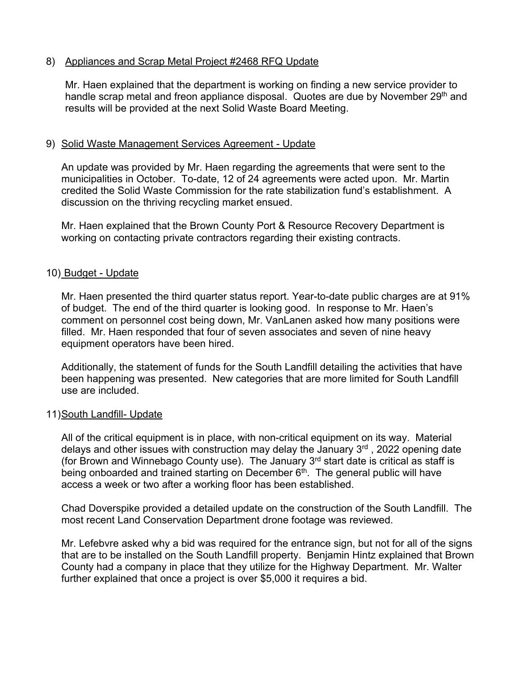### 8) Appliances and Scrap Metal Project #2468 RFQ Update

Mr. Haen explained that the department is working on finding a new service provider to handle scrap metal and freon appliance disposal. Quotes are due by November 29<sup>th</sup> and results will be provided at the next Solid Waste Board Meeting.

### 9) Solid Waste Management Services Agreement - Update

An update was provided by Mr. Haen regarding the agreements that were sent to the municipalities in October. To-date, 12 of 24 agreements were acted upon. Mr. Martin credited the Solid Waste Commission for the rate stabilization fund's establishment. A discussion on the thriving recycling market ensued.

Mr. Haen explained that the Brown County Port & Resource Recovery Department is working on contacting private contractors regarding their existing contracts.

#### 10) Budget - Update

Mr. Haen presented the third quarter status report. Year-to-date public charges are at 91% of budget. The end of the third quarter is looking good. In response to Mr. Haen's comment on personnel cost being down, Mr. VanLanen asked how many positions were filled. Mr. Haen responded that four of seven associates and seven of nine heavy equipment operators have been hired.

Additionally, the statement of funds for the South Landfill detailing the activities that have been happening was presented. New categories that are more limited for South Landfill use are included.

#### 11) South Landfill- Update

All of the critical equipment is in place, with non-critical equipment on its way. Material delays and other issues with construction may delay the January  $3<sup>rd</sup>$ , 2022 opening date (for Brown and Winnebago County use). The January  $3<sup>rd</sup>$  start date is critical as staff is being onboarded and trained starting on December  $6<sup>th</sup>$ . The general public will have access a week or two after a working floor has been established.

Chad Doverspike provided a detailed update on the construction of the South Landfill. The most recent Land Conservation Department drone footage was reviewed.

Mr. Lefebvre asked why a bid was required for the entrance sign, but not for all of the signs that are to be installed on the South Landfill property. Benjamin Hintz explained that Brown County had a company in place that they utilize for the Highway Department. Mr. Walter further explained that once a project is over \$5,000 it requires a bid.